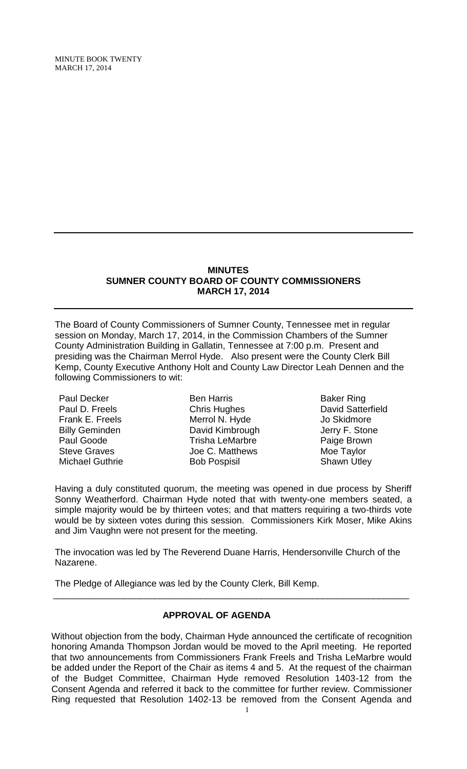MINUTE BOOK TWENTY MARCH 17, 2014

#### **MINUTES SUMNER COUNTY BOARD OF COUNTY COMMISSIONERS MARCH 17, 2014**

The Board of County Commissioners of Sumner County, Tennessee met in regular session on Monday, March 17, 2014, in the Commission Chambers of the Sumner County Administration Building in Gallatin, Tennessee at 7:00 p.m. Present and presiding was the Chairman Merrol Hyde. Also present were the County Clerk Bill Kemp, County Executive Anthony Holt and County Law Director Leah Dennen and the following Commissioners to wit:

Paul Decker Paul D. Freels Frank E. Freels Billy Geminden Paul Goode Steve Graves Michael Guthrie

Ben Harris Chris Hughes Merrol N. Hyde David Kimbrough Trisha LeMarbre Joe C. Matthews Bob Pospisil

Baker Ring David Satterfield Jo Skidmore Jerry F. Stone Paige Brown Moe Taylor Shawn Utley

Having a duly constituted quorum, the meeting was opened in due process by Sheriff Sonny Weatherford. Chairman Hyde noted that with twenty-one members seated, a simple majority would be by thirteen votes; and that matters requiring a two-thirds vote would be by sixteen votes during this session. Commissioners Kirk Moser, Mike Akins and Jim Vaughn were not present for the meeting.

The invocation was led by The Reverend Duane Harris, Hendersonville Church of the Nazarene.

\_\_\_\_\_\_\_\_\_\_\_\_\_\_\_\_\_\_\_\_\_\_\_\_\_\_\_\_\_\_\_\_\_\_\_\_\_\_\_\_\_\_\_\_\_\_\_\_\_\_\_\_\_\_\_\_\_\_\_\_\_\_\_\_\_\_\_\_\_\_

The Pledge of Allegiance was led by the County Clerk, Bill Kemp.

## **APPROVAL OF AGENDA**

Without objection from the body, Chairman Hyde announced the certificate of recognition honoring Amanda Thompson Jordan would be moved to the April meeting. He reported that two announcements from Commissioners Frank Freels and Trisha LeMarbre would be added under the Report of the Chair as items 4 and 5. At the request of the chairman of the Budget Committee, Chairman Hyde removed Resolution 1403-12 from the Consent Agenda and referred it back to the committee for further review. Commissioner Ring requested that Resolution 1402-13 be removed from the Consent Agenda and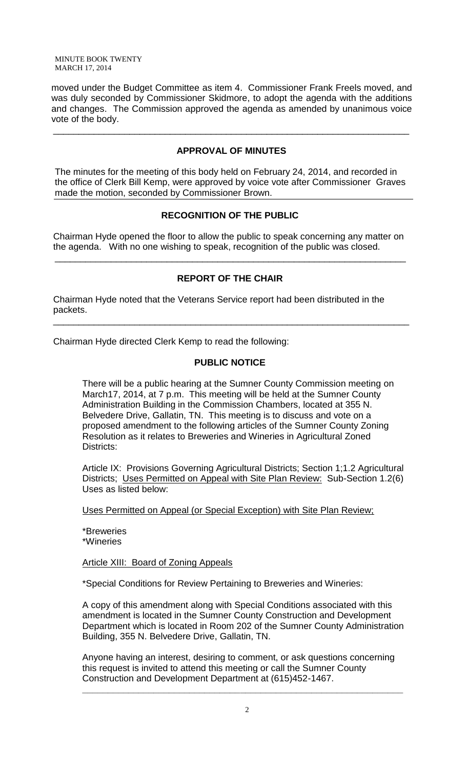MINUTE BOOK TWENTY MARCH 17, 2014

moved under the Budget Committee as item 4. Commissioner Frank Freels moved, and was duly seconded by Commissioner Skidmore, to adopt the agenda with the additions and changes. The Commission approved the agenda as amended by unanimous voice vote of the body.

## **APPROVAL OF MINUTES**

\_\_\_\_\_\_\_\_\_\_\_\_\_\_\_\_\_\_\_\_\_\_\_\_\_\_\_\_\_\_\_\_\_\_\_\_\_\_\_\_\_\_\_\_\_\_\_\_\_\_\_\_\_\_\_\_\_\_\_\_\_\_\_\_\_\_\_\_\_\_

The minutes for the meeting of this body held on February 24, 2014, and recorded in the office of Clerk Bill Kemp, were approved by voice vote after Commissioner Graves made the motion, seconded by Commissioner Brown.

# **RECOGNITION OF THE PUBLIC**

 Chairman Hyde opened the floor to allow the public to speak concerning any matter on the agenda. With no one wishing to speak, recognition of the public was closed.

\_\_\_\_\_\_\_\_\_\_\_\_\_\_\_\_\_\_\_\_\_\_\_\_\_\_\_\_\_\_\_\_\_\_\_\_\_\_\_\_\_\_\_\_\_\_\_\_\_\_\_\_\_\_\_\_\_\_\_\_\_\_\_\_\_\_\_\_\_

# **REPORT OF THE CHAIR**

 Chairman Hyde noted that the Veterans Service report had been distributed in the packets.

Chairman Hyde directed Clerk Kemp to read the following:

## **PUBLIC NOTICE**

\_\_\_\_\_\_\_\_\_\_\_\_\_\_\_\_\_\_\_\_\_\_\_\_\_\_\_\_\_\_\_\_\_\_\_\_\_\_\_\_\_\_\_\_\_\_\_\_\_\_\_\_\_\_\_\_\_\_\_\_\_\_\_\_\_\_\_\_\_\_

There will be a public hearing at the Sumner County Commission meeting on March17, 2014, at 7 p.m. This meeting will be held at the Sumner County Administration Building in the Commission Chambers, located at 355 N. Belvedere Drive, Gallatin, TN. This meeting is to discuss and vote on a proposed amendment to the following articles of the Sumner County Zoning Resolution as it relates to Breweries and Wineries in Agricultural Zoned Districts:

Article IX: Provisions Governing Agricultural Districts; Section 1;1.2 Agricultural Districts; Uses Permitted on Appeal with Site Plan Review: Sub-Section 1.2(6) Uses as listed below:

Uses Permitted on Appeal (or Special Exception) with Site Plan Review;

\*Breweries \*Wineries

**Article XIII: Board of Zoning Appeals** 

\*Special Conditions for Review Pertaining to Breweries and Wineries:

A copy of this amendment along with Special Conditions associated with this amendment is located in the Sumner County Construction and Development Department which is located in Room 202 of the Sumner County Administration Building, 355 N. Belvedere Drive, Gallatin, TN.

Anyone having an interest, desiring to comment, or ask questions concerning this request is invited to attend this meeting or call the Sumner County Construction and Development Department at (615)452-1467.

**\_\_\_\_\_\_\_\_\_\_\_\_\_\_\_\_\_\_\_\_\_\_\_\_\_\_\_\_\_\_\_\_\_\_\_\_\_\_\_\_\_\_\_\_\_\_\_\_\_\_\_\_\_\_\_\_\_\_\_\_\_\_\_**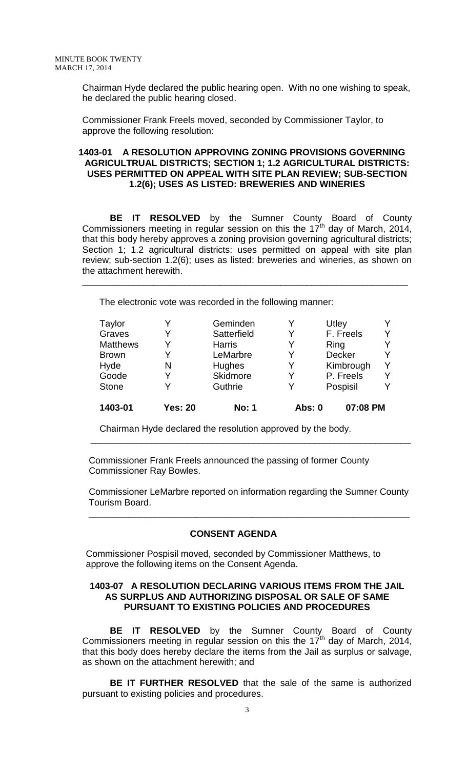Chairman Hyde declared the public hearing open. With no one wishing to speak, he declared the public hearing closed.

 Commissioner Frank Freels moved, seconded by Commissioner Taylor, to approve the following resolution:

#### **1403-01 A RESOLUTION APPROVING ZONING PROVISIONS GOVERNING AGRICULTRUAL DISTRICTS; SECTION 1; 1.2 AGRICULTURAL DISTRICTS: USES PERMITTED ON APPEAL WITH SITE PLAN REVIEW; SUB-SECTION 1.2(6); USES AS LISTED: BREWERIES AND WINERIES**

**BE IT RESOLVED** by the Sumner County Board of County Commissioners meeting in regular session on this the  $17<sup>th</sup>$  day of March, 2014, that this body hereby approves a zoning provision governing agricultural districts; Section 1; 1.2 agricultural districts: uses permitted on appeal with site plan review; sub-section 1.2(6); uses as listed: breweries and wineries, as shown on the attachment herewith.

\_\_\_\_\_\_\_\_\_\_\_\_\_\_\_\_\_\_\_\_\_\_\_\_\_\_\_\_\_\_\_\_\_\_\_\_\_\_\_\_\_\_\_\_\_\_\_\_\_\_\_\_\_\_\_\_\_\_\_\_\_\_\_\_

The electronic vote was recorded in the following manner:

| Taylor          |                | Geminden      |               | Utley         |  |
|-----------------|----------------|---------------|---------------|---------------|--|
| Graves          |                | Satterfield   | Y             | F. Freels     |  |
| <b>Matthews</b> |                | <b>Harris</b> |               | Ring          |  |
| <b>Brown</b>    |                | LeMarbre      | Y             | <b>Decker</b> |  |
| Hyde            | N              | Hughes        | Y             | Kimbrough     |  |
| Goode           |                | Skidmore      | Y             | P. Freels     |  |
| <b>Stone</b>    |                | Guthrie       | Y             | Pospisil      |  |
| 1403-01         | <b>Yes: 20</b> | <b>No: 1</b>  | <b>Abs: 0</b> | 07:08 PM      |  |

Chairman Hyde declared the resolution approved by the body.

 Commissioner Frank Freels announced the passing of former County Commissioner Ray Bowles.

 Commissioner LeMarbre reported on information regarding the Sumner County Tourism Board.

\_\_\_\_\_\_\_\_\_\_\_\_\_\_\_\_\_\_\_\_\_\_\_\_\_\_\_\_\_\_\_\_\_\_\_\_\_\_\_\_\_\_\_\_\_\_\_\_\_\_\_\_\_\_\_\_\_\_\_\_\_\_\_

#### **CONSENT AGENDA**

 $\frac{1}{2}$  , and the contribution of the contribution of the contribution of the contribution of the contribution of the contribution of the contribution of the contribution of the contribution of the contribution of the c

Commissioner Pospisil moved, seconded by Commissioner Matthews, to approve the following items on the Consent Agenda.

#### **1403-07 A RESOLUTION DECLARING VARIOUS ITEMS FROM THE JAIL AS SURPLUS AND AUTHORIZING DISPOSAL OR SALE OF SAME PURSUANT TO EXISTING POLICIES AND PROCEDURES**

**BE IT RESOLVED** by the Sumner County Board of County Commissioners meeting in regular session on this the 17<sup>th</sup> day of March, 2014, that this body does hereby declare the items from the Jail as surplus or salvage, as shown on the attachment herewith; and

**BE IT FURTHER RESOLVED** that the sale of the same is authorized pursuant to existing policies and procedures.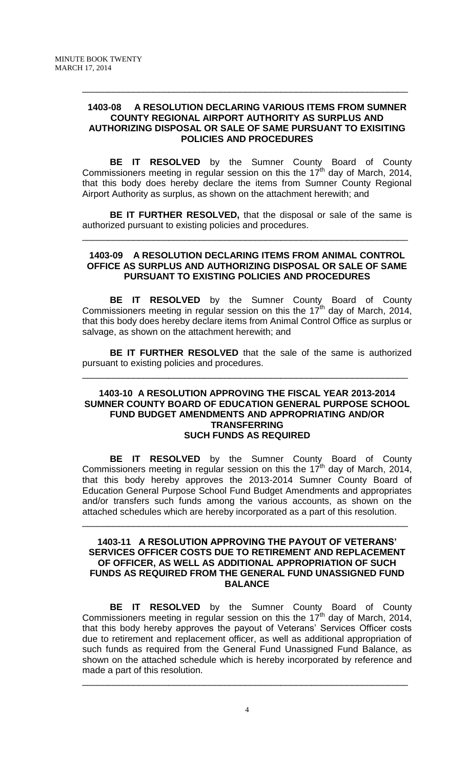#### **1403-08 A RESOLUTION DECLARING VARIOUS ITEMS FROM SUMNER COUNTY REGIONAL AIRPORT AUTHORITY AS SURPLUS AND AUTHORIZING DISPOSAL OR SALE OF SAME PURSUANT TO EXISITING POLICIES AND PROCEDURES**

\_\_\_\_\_\_\_\_\_\_\_\_\_\_\_\_\_\_\_\_\_\_\_\_\_\_\_\_\_\_\_\_\_\_\_\_\_\_\_\_\_\_\_\_\_\_\_\_\_\_\_\_\_\_\_\_\_\_\_\_\_\_\_\_

**BE IT RESOLVED** by the Sumner County Board of County Commissioners meeting in regular session on this the 17<sup>th</sup> day of March, 2014, that this body does hereby declare the items from Sumner County Regional Airport Authority as surplus, as shown on the attachment herewith; and

**BE IT FURTHER RESOLVED,** that the disposal or sale of the same is authorized pursuant to existing policies and procedures.

\_\_\_\_\_\_\_\_\_\_\_\_\_\_\_\_\_\_\_\_\_\_\_\_\_\_\_\_\_\_\_\_\_\_\_\_\_\_\_\_\_\_\_\_\_\_\_\_\_\_\_\_\_\_\_\_\_\_\_\_\_\_\_\_

#### **1403-09 A RESOLUTION DECLARING ITEMS FROM ANIMAL CONTROL OFFICE AS SURPLUS AND AUTHORIZING DISPOSAL OR SALE OF SAME PURSUANT TO EXISTING POLICIES AND PROCEDURES**

**BE IT RESOLVED** by the Sumner County Board of County Commissioners meeting in regular session on this the 17<sup>th</sup> day of March, 2014, that this body does hereby declare items from Animal Control Office as surplus or salvage, as shown on the attachment herewith; and

**BE IT FURTHER RESOLVED** that the sale of the same is authorized pursuant to existing policies and procedures.

\_\_\_\_\_\_\_\_\_\_\_\_\_\_\_\_\_\_\_\_\_\_\_\_\_\_\_\_\_\_\_\_\_\_\_\_\_\_\_\_\_\_\_\_\_\_\_\_\_\_\_\_\_\_\_\_\_\_\_\_\_\_\_\_

#### **1403-10 A RESOLUTION APPROVING THE FISCAL YEAR 2013-2014 SUMNER COUNTY BOARD OF EDUCATION GENERAL PURPOSE SCHOOL FUND BUDGET AMENDMENTS AND APPROPRIATING AND/OR TRANSFERRING SUCH FUNDS AS REQUIRED**

**BE IT RESOLVED** by the Sumner County Board of County Commissioners meeting in regular session on this the 17th day of March, 2014, that this body hereby approves the 2013-2014 Sumner County Board of Education General Purpose School Fund Budget Amendments and appropriates and/or transfers such funds among the various accounts, as shown on the attached schedules which are hereby incorporated as a part of this resolution.

#### **1403-11 A RESOLUTION APPROVING THE PAYOUT OF VETERANS' SERVICES OFFICER COSTS DUE TO RETIREMENT AND REPLACEMENT OF OFFICER, AS WELL AS ADDITIONAL APPROPRIATION OF SUCH FUNDS AS REQUIRED FROM THE GENERAL FUND UNASSIGNED FUND BALANCE**

\_\_\_\_\_\_\_\_\_\_\_\_\_\_\_\_\_\_\_\_\_\_\_\_\_\_\_\_\_\_\_\_\_\_\_\_\_\_\_\_\_\_\_\_\_\_\_\_\_\_\_\_\_\_\_\_\_\_\_\_\_\_\_\_

**BE IT RESOLVED** by the Sumner County Board of County Commissioners meeting in regular session on this the 17<sup>th</sup> day of March, 2014, that this body hereby approves the payout of Veterans' Services Officer costs due to retirement and replacement officer, as well as additional appropriation of such funds as required from the General Fund Unassigned Fund Balance, as shown on the attached schedule which is hereby incorporated by reference and made a part of this resolution.

\_\_\_\_\_\_\_\_\_\_\_\_\_\_\_\_\_\_\_\_\_\_\_\_\_\_\_\_\_\_\_\_\_\_\_\_\_\_\_\_\_\_\_\_\_\_\_\_\_\_\_\_\_\_\_\_\_\_\_\_\_\_\_\_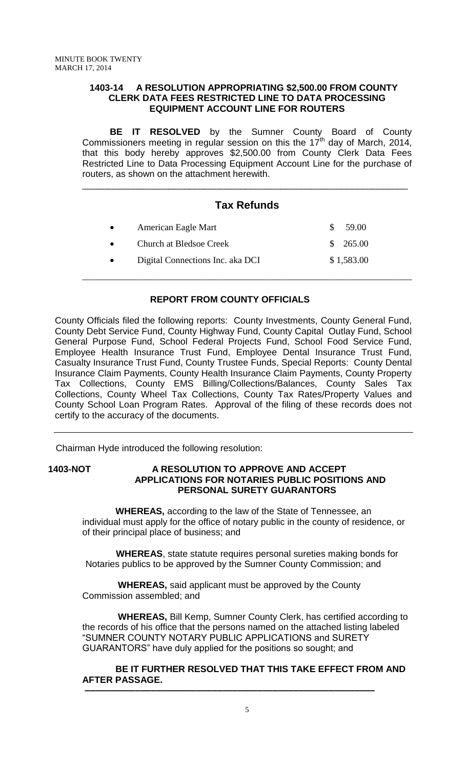#### **1403-14 A RESOLUTION APPROPRIATING \$2,500.00 FROM COUNTY CLERK DATA FEES RESTRICTED LINE TO DATA PROCESSING EQUIPMENT ACCOUNT LINE FOR ROUTERS**

**BE IT RESOLVED** by the Sumner County Board of County Commissioners meeting in regular session on this the 17<sup>th</sup> day of March, 2014, that this body hereby approves \$2,500.00 from County Clerk Data Fees Restricted Line to Data Processing Equipment Account Line for the purchase of routers, as shown on the attachment herewith.

# **Tax Refunds**

\_\_\_\_\_\_\_\_\_\_\_\_\_\_\_\_\_\_\_\_\_\_\_\_\_\_\_\_\_\_\_\_\_\_\_\_\_\_\_\_\_\_\_\_\_\_\_\_\_\_\_\_\_\_\_\_\_\_\_\_\_\_\_\_\_\_\_\_\_\_\_\_

\_\_\_\_\_\_\_\_\_\_\_\_\_\_\_\_\_\_\_\_\_\_\_\_\_\_\_\_\_\_\_\_\_\_\_\_\_\_\_\_\_\_\_\_\_\_\_\_\_\_\_\_\_\_\_\_\_\_\_\_\_\_\_\_

| American Eagle Mart              | SS. | 59.00      |
|----------------------------------|-----|------------|
| <b>Church at Bledsoe Creek</b>   |     | \$265.00   |
| Digital Connections Inc. aka DCI |     | \$1,583.00 |

## **REPORT FROM COUNTY OFFICIALS**

County Officials filed the following reports: County Investments, County General Fund, County Debt Service Fund, County Highway Fund, County Capital Outlay Fund, School General Purpose Fund, School Federal Projects Fund, School Food Service Fund, Employee Health Insurance Trust Fund, Employee Dental Insurance Trust Fund, Casualty Insurance Trust Fund, County Trustee Funds, Special Reports: County Dental Insurance Claim Payments, County Health Insurance Claim Payments, County Property Tax Collections, County EMS Billing/Collections/Balances, County Sales Tax Collections, County Wheel Tax Collections, County Tax Rates/Property Values and County School Loan Program Rates. Approval of the filing of these records does not certify to the accuracy of the documents.

Chairman Hyde introduced the following resolution:

## **1403-NOT A RESOLUTION TO APPROVE AND ACCEPT APPLICATIONS FOR NOTARIES PUBLIC POSITIONS AND PERSONAL SURETY GUARANTORS**

 **WHEREAS,** according to the law of the State of Tennessee, an individual must apply for the office of notary public in the county of residence, or of their principal place of business; and

 **WHEREAS**, state statute requires personal sureties making bonds for Notaries publics to be approved by the Sumner County Commission; and

 **WHEREAS,** said applicant must be approved by the County Commission assembled; and

 **–––––––––––––––––––––––––––––––––––––––––––––––––––––––––**

 **WHEREAS,** Bill Kemp, Sumner County Clerk, has certified according to the records of his office that the persons named on the attached listing labeled "SUMNER COUNTY NOTARY PUBLIC APPLICATIONS and SURETY GUARANTORS" have duly applied for the positions so sought; and

 **BE IT FURTHER RESOLVED THAT THIS TAKE EFFECT FROM AND AFTER PASSAGE.**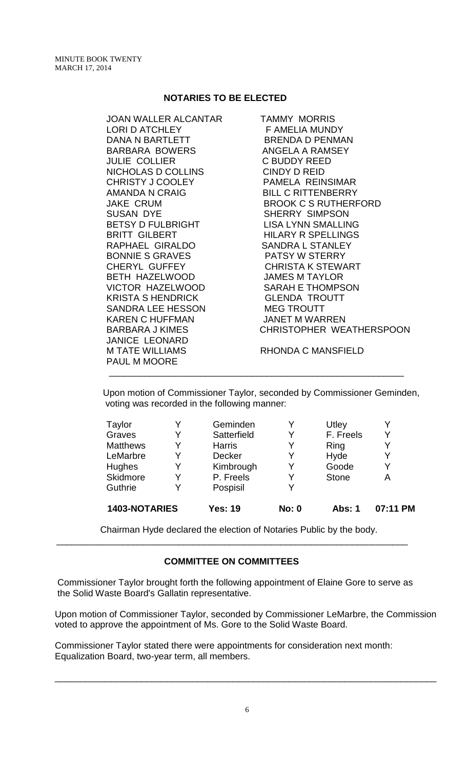#### **NOTARIES TO BE ELECTED**

| JOAN WALLER ALCANTAR     | <b>TAMMY MORRIS</b>         |
|--------------------------|-----------------------------|
| <b>LORI D ATCHLEY</b>    | F AMELIA MUNDY              |
| DANA N BARTLETT          | BRENDA D PENMAN             |
| BARBARA BOWERS           | ANGELA A RAMSEY             |
| <b>JULIE COLLIER</b>     | <b>C BUDDY REED</b>         |
| NICHOLAS D COLLINS       | CINDY D REID                |
| <b>CHRISTY J COOLEY</b>  | PAMELA REINSIMAR            |
| AMANDA N CRAIG           | <b>BILL C RITTENBERRY</b>   |
| <b>JAKE CRUM</b>         | <b>BROOK C S RUTHERFORD</b> |
| <b>SUSAN DYE</b>         | <b>SHERRY SIMPSON</b>       |
| BETSY D FULBRIGHT        | <b>LISA LYNN SMALLING</b>   |
| <b>BRITT GILBERT</b>     | <b>HILARY R SPELLINGS</b>   |
| RAPHAEL GIRALDO          | <b>SANDRA L STANLEY</b>     |
| BONNIE S GRAVES          | PATSY W STERRY              |
| <b>CHERYL GUFFEY</b>     | CHRISTA K STEWART           |
| BETH HAZELWOOD           | <b>JAMES M TAYLOR</b>       |
| VICTOR HAZELWOOD         | <b>SARAH E THOMPSON</b>     |
| <b>KRISTA S HENDRICK</b> | <b>GLENDA TROUTT</b>        |
| SANDRA LEE HESSON        | <b>MEG TROUTT</b>           |
| <b>KAREN C HUFFMAN</b>   | <b>JANET M WARREN</b>       |
| <b>BARBARA J KIMES</b>   | CHRISTOPHER WEATHERSPOON    |
| <b>JANICE LEONARD</b>    |                             |
| <b>M TATE WILLIAMS</b>   | RHONDA C MANSFIELD          |
| <b>PAUL M MOORE</b>      |                             |

Upon motion of Commissioner Taylor, seconded by Commissioner Geminden, voting was recorded in the following manner:

\_\_\_\_\_\_\_\_\_\_\_\_\_\_\_\_\_\_\_\_\_\_\_\_\_\_\_\_\_\_\_\_\_\_\_\_\_\_\_\_\_\_\_\_\_\_\_\_\_\_\_\_\_\_\_\_\_\_

| 1403-NOTARIES   |   | <b>Yes: 19</b> | <b>No: 0</b> | Abs: 1       | 07:11 PM |
|-----------------|---|----------------|--------------|--------------|----------|
| Guthrie         | v | Pospisil       | v            |              |          |
| Skidmore        | V | P. Freels      | Y            | <b>Stone</b> | А        |
| <b>Hughes</b>   | Y | Kimbrough      | Y            | Goode        | Y        |
| LeMarbre        | v | Decker         | Y            | Hyde         | Y        |
| <b>Matthews</b> | V | <b>Harris</b>  | Y            | Ring         | Y        |
| Graves          | Y | Satterfield    |              | F. Freels    | Y        |
| Taylor          | V | Geminden       |              | Utley        |          |

Chairman Hyde declared the election of Notaries Public by the body.

#### **COMMITTEE ON COMMITTEES**

\_\_\_\_\_\_\_\_\_\_\_\_\_\_\_\_\_\_\_\_\_\_\_\_\_\_\_\_\_\_\_\_\_\_\_\_\_\_\_\_\_\_\_\_\_\_\_\_\_\_\_\_\_\_\_\_\_\_\_\_\_\_\_\_\_\_\_\_\_

Commissioner Taylor brought forth the following appointment of Elaine Gore to serve as the Solid Waste Board's Gallatin representative.

Upon motion of Commissioner Taylor, seconded by Commissioner LeMarbre, the Commission voted to approve the appointment of Ms. Gore to the Solid Waste Board.

Commissioner Taylor stated there were appointments for consideration next month: Equalization Board, two-year term, all members.

\_\_\_\_\_\_\_\_\_\_\_\_\_\_\_\_\_\_\_\_\_\_\_\_\_\_\_\_\_\_\_\_\_\_\_\_\_\_\_\_\_\_\_\_\_\_\_\_\_\_\_\_\_\_\_\_\_\_\_\_\_\_\_\_\_\_\_\_\_\_\_\_\_\_\_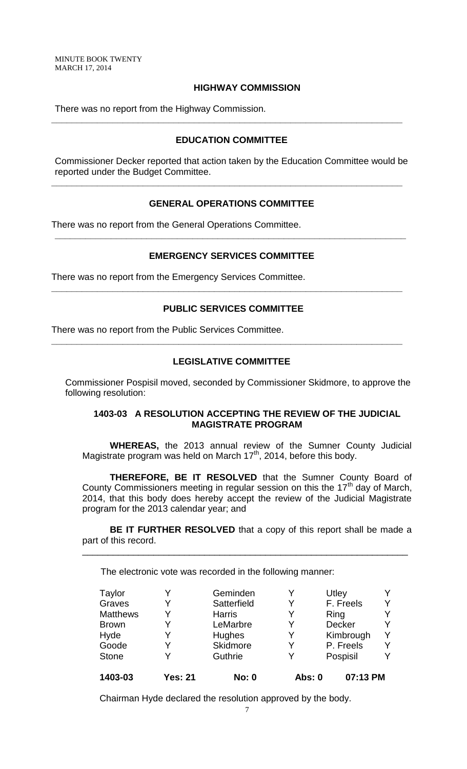MINUTE BOOK TWENTY MARCH 17, 2014

#### **HIGHWAY COMMISSION**

There was no report from the Highway Commission.

#### **EDUCATION COMMITTEE**

**\_\_\_\_\_\_\_\_\_\_\_\_\_\_\_\_\_\_\_\_\_\_\_\_\_\_\_\_\_\_\_\_\_\_\_\_\_\_\_\_\_\_\_\_\_\_\_\_\_\_\_\_\_\_\_\_\_\_\_\_\_\_\_\_\_\_\_\_\_**

Commissioner Decker reported that action taken by the Education Committee would be reported under the Budget Committee.

**\_\_\_\_\_\_\_\_\_\_\_\_\_\_\_\_\_\_\_\_\_\_\_\_\_\_\_\_\_\_\_\_\_\_\_\_\_\_\_\_\_\_\_\_\_\_\_\_\_\_\_\_\_\_\_\_\_\_\_\_\_\_\_\_\_\_\_\_\_**

#### **GENERAL OPERATIONS COMMITTEE**

There was no report from the General Operations Committee.

#### **EMERGENCY SERVICES COMMITTEE**

**\_\_\_\_\_\_\_\_\_\_\_\_\_\_\_\_\_\_\_\_\_\_\_\_\_\_\_\_\_\_\_\_\_\_\_\_\_\_\_\_\_\_\_\_\_\_\_\_\_\_\_\_\_\_\_\_\_\_\_\_\_\_\_\_\_\_\_\_\_**

There was no report from the Emergency Services Committee.

#### **PUBLIC SERVICES COMMITTEE**

**\_\_\_\_\_\_\_\_\_\_\_\_\_\_\_\_\_\_\_\_\_\_\_\_\_\_\_\_\_\_\_\_\_\_\_\_\_\_\_\_\_\_\_\_\_\_\_\_\_\_\_\_\_\_\_\_\_\_\_\_\_\_\_\_\_\_\_\_\_**

There was no report from the Public Services Committee.

#### **LEGISLATIVE COMMITTEE**

**\_\_\_\_\_\_\_\_\_\_\_\_\_\_\_\_\_\_\_\_\_\_\_\_\_\_\_\_\_\_\_\_\_\_\_\_\_\_\_\_\_\_\_\_\_\_\_\_\_\_\_\_\_\_\_\_\_\_\_\_\_\_\_\_\_\_\_\_\_**

Commissioner Pospisil moved, seconded by Commissioner Skidmore, to approve the following resolution:

#### **1403-03 A RESOLUTION ACCEPTING THE REVIEW OF THE JUDICIAL MAGISTRATE PROGRAM**

**WHEREAS,** the 2013 annual review of the Sumner County Judicial Magistrate program was held on March  $17<sup>th</sup>$ , 2014, before this body.

**THEREFORE, BE IT RESOLVED** that the Sumner County Board of County Commissioners meeting in regular session on this the  $17<sup>th</sup>$  day of March, 2014, that this body does hereby accept the review of the Judicial Magistrate program for the 2013 calendar year; and

**BE IT FURTHER RESOLVED** that a copy of this report shall be made a part of this record.

\_\_\_\_\_\_\_\_\_\_\_\_\_\_\_\_\_\_\_\_\_\_\_\_\_\_\_\_\_\_\_\_\_\_\_\_\_\_\_\_\_\_\_\_\_\_\_\_\_\_\_\_\_\_\_\_\_\_\_\_\_\_\_\_

The electronic vote was recorded in the following manner:

| Taylor          |                | Geminden      |               | Utley         |  |
|-----------------|----------------|---------------|---------------|---------------|--|
| Graves          |                | Satterfield   | Y             | F. Freels     |  |
| <b>Matthews</b> | Y              | <b>Harris</b> | Y             | Ring          |  |
| <b>Brown</b>    |                | LeMarbre      | Y             | <b>Decker</b> |  |
| Hyde            |                | <b>Hughes</b> | Y             | Kimbrough     |  |
| Goode           |                | Skidmore      | Y             | P. Freels     |  |
| <b>Stone</b>    |                | Guthrie       | Y             | Pospisil      |  |
| 1403-03         | <b>Yes: 21</b> | <b>No: 0</b>  | <b>Abs: 0</b> | 07:13 PM      |  |

Chairman Hyde declared the resolution approved by the body.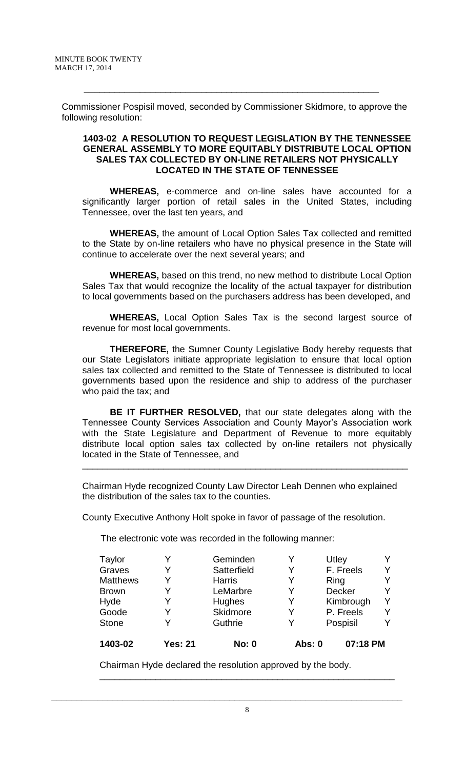Commissioner Pospisil moved, seconded by Commissioner Skidmore, to approve the following resolution:

\_\_\_\_\_\_\_\_\_\_\_\_\_\_\_\_\_\_\_\_\_\_\_\_\_\_\_\_\_\_\_\_\_\_\_\_\_\_\_\_\_\_\_\_\_\_\_\_\_\_\_\_\_\_\_\_\_\_

#### **1403-02 A RESOLUTION TO REQUEST LEGISLATION BY THE TENNESSEE GENERAL ASSEMBLY TO MORE EQUITABLY DISTRIBUTE LOCAL OPTION SALES TAX COLLECTED BY ON-LINE RETAILERS NOT PHYSICALLY LOCATED IN THE STATE OF TENNESSEE**

**WHEREAS,** e-commerce and on-line sales have accounted for a significantly larger portion of retail sales in the United States, including Tennessee, over the last ten years, and

**WHEREAS,** the amount of Local Option Sales Tax collected and remitted to the State by on-line retailers who have no physical presence in the State will continue to accelerate over the next several years; and

**WHEREAS,** based on this trend, no new method to distribute Local Option Sales Tax that would recognize the locality of the actual taxpayer for distribution to local governments based on the purchasers address has been developed, and

**WHEREAS,** Local Option Sales Tax is the second largest source of revenue for most local governments.

**THEREFORE,** the Sumner County Legislative Body hereby requests that our State Legislators initiate appropriate legislation to ensure that local option sales tax collected and remitted to the State of Tennessee is distributed to local governments based upon the residence and ship to address of the purchaser who paid the tax; and

**BE IT FURTHER RESOLVED,** that our state delegates along with the Tennessee County Services Association and County Mayor's Association work with the State Legislature and Department of Revenue to more equitably distribute local option sales tax collected by on-line retailers not physically located in the State of Tennessee, and

\_\_\_\_\_\_\_\_\_\_\_\_\_\_\_\_\_\_\_\_\_\_\_\_\_\_\_\_\_\_\_\_\_\_\_\_\_\_\_\_\_\_\_\_\_\_\_\_\_\_\_\_\_\_\_\_\_\_\_\_\_\_\_\_

Chairman Hyde recognized County Law Director Leah Dennen who explained the distribution of the sales tax to the counties.

County Executive Anthony Holt spoke in favor of passage of the resolution.

The electronic vote was recorded in the following manner:

| <b>Taylor</b>   |                | Geminden      |               | Utley     |   |
|-----------------|----------------|---------------|---------------|-----------|---|
| Graves          |                | Satterfield   | v             | F. Freels |   |
| <b>Matthews</b> | Y              | <b>Harris</b> | Y             | Ring      |   |
| <b>Brown</b>    | Y              | LeMarbre      | Y             | Decker    |   |
| Hyde            |                | <b>Hughes</b> | Y             | Kimbrough | ∨ |
| Goode           |                | Skidmore      | Y             | P. Freels |   |
| <b>Stone</b>    |                | Guthrie       | V             | Pospisil  |   |
| 1403-02         | <b>Yes: 21</b> | <b>No: 0</b>  | <b>Abs: 0</b> | 07:18 PM  |   |

Chairman Hyde declared the resolution approved by the body.

**\_\_\_\_\_\_\_\_\_\_\_\_\_\_\_\_\_\_\_\_\_\_\_\_\_\_\_\_\_\_\_\_\_\_\_\_\_\_\_\_\_\_\_\_\_\_\_\_\_\_\_\_\_\_\_\_\_\_\_\_\_\_\_\_\_\_\_\_\_**

\_\_\_\_\_\_\_\_\_\_\_\_\_\_\_\_\_\_\_\_\_\_\_\_\_\_\_\_\_\_\_\_\_\_\_\_\_\_\_\_\_\_\_\_\_\_\_\_\_\_\_\_\_\_\_\_\_\_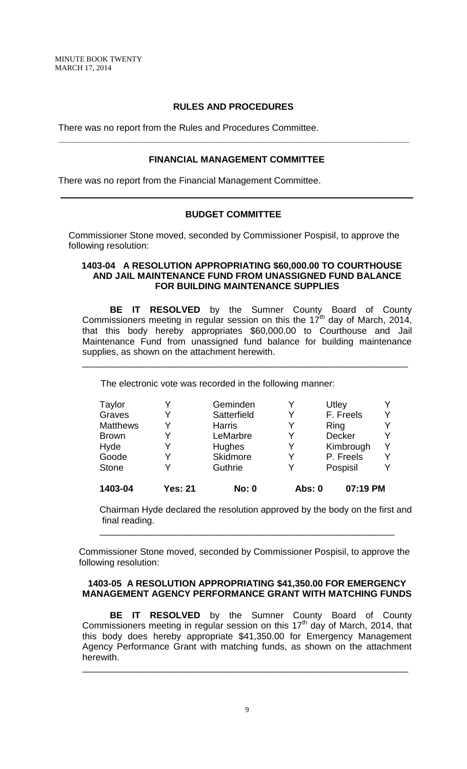#### **RULES AND PROCEDURES**

**\_\_\_\_\_\_\_\_\_\_\_\_\_\_\_\_\_\_\_\_\_\_\_\_\_\_\_\_\_\_\_\_\_\_\_\_\_\_\_\_\_\_\_\_\_\_\_\_\_\_\_\_\_\_\_\_\_\_\_\_\_\_\_\_\_\_\_\_\_**

There was no report from the Rules and Procedures Committee.

#### **FINANCIAL MANAGEMENT COMMITTEE**

There was no report from the Financial Management Committee.

### **BUDGET COMMITTEE**

Commissioner Stone moved, seconded by Commissioner Pospisil, to approve the following resolution:

#### **1403-04 A RESOLUTION APPROPRIATING \$60,000.00 TO COURTHOUSE AND JAIL MAINTENANCE FUND FROM UNASSIGNED FUND BALANCE FOR BUILDING MAINTENANCE SUPPLIES**

**BE IT RESOLVED** by the Sumner County Board of County Commissioners meeting in regular session on this the  $17<sup>th</sup>$  day of March, 2014, that this body hereby appropriates \$60,000.00 to Courthouse and Jail Maintenance Fund from unassigned fund balance for building maintenance supplies, as shown on the attachment herewith.

\_\_\_\_\_\_\_\_\_\_\_\_\_\_\_\_\_\_\_\_\_\_\_\_\_\_\_\_\_\_\_\_\_\_\_\_\_\_\_\_\_\_\_\_\_\_\_\_\_\_\_\_\_\_\_\_\_\_\_\_\_\_\_\_

The electronic vote was recorded in the following manner:

| Taylor          |         | Geminden      | Y      | Utley         |  |
|-----------------|---------|---------------|--------|---------------|--|
| Graves          |         | Satterfield   | Y      | F. Freels     |  |
| <b>Matthews</b> |         | <b>Harris</b> | Y      | Ring          |  |
| <b>Brown</b>    |         | LeMarbre      | Y      | <b>Decker</b> |  |
| Hyde            |         | <b>Hughes</b> | Y      | Kimbrough     |  |
| Goode           |         | Skidmore      | Y      | P. Freels     |  |
| <b>Stone</b>    |         | Guthrie       | Y      | Pospisil      |  |
| 1403-04         | Yes: 21 | <b>No: 0</b>  | Abs: 0 | 07:19 PM      |  |

Chairman Hyde declared the resolution approved by the body on the first and final reading.

Commissioner Stone moved, seconded by Commissioner Pospisil, to approve the following resolution:

\_\_\_\_\_\_\_\_\_\_\_\_\_\_\_\_\_\_\_\_\_\_\_\_\_\_\_\_\_\_\_\_\_\_\_\_\_\_\_\_\_\_\_\_\_\_\_\_\_\_\_\_\_\_\_\_\_\_

#### **1403-05 A RESOLUTION APPROPRIATING \$41,350.00 FOR EMERGENCY MANAGEMENT AGENCY PERFORMANCE GRANT WITH MATCHING FUNDS**

**BE IT RESOLVED** by the Sumner County Board of County Commissioners meeting in regular session on this  $17<sup>th</sup>$  day of March, 2014, that this body does hereby appropriate \$41,350.00 for Emergency Management Agency Performance Grant with matching funds, as shown on the attachment herewith.

\_\_\_\_\_\_\_\_\_\_\_\_\_\_\_\_\_\_\_\_\_\_\_\_\_\_\_\_\_\_\_\_\_\_\_\_\_\_\_\_\_\_\_\_\_\_\_\_\_\_\_\_\_\_\_\_\_\_\_\_\_\_\_\_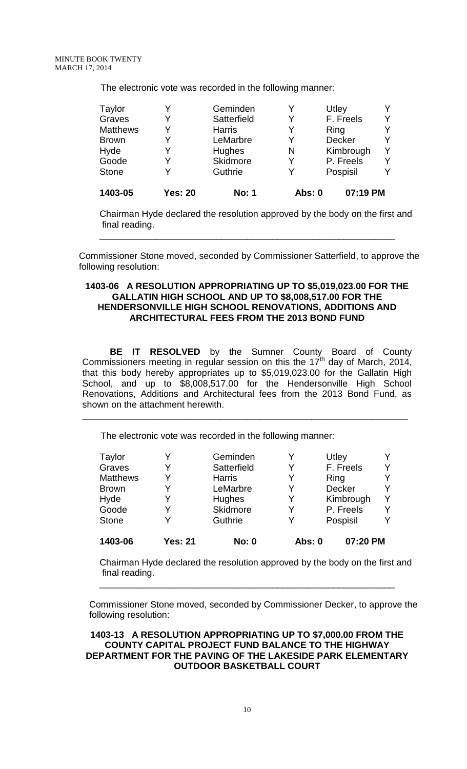The electronic vote was recorded in the following manner:

| 1403-05         | <b>Yes: 20</b> | <b>No: 1</b>  | Abs: 0 | 07:19 PM  |   |
|-----------------|----------------|---------------|--------|-----------|---|
| <b>Stone</b>    |                | Guthrie       |        | Pospisil  | Y |
| Goode           |                | Skidmore      |        | P. Freels | Y |
| Hyde            |                | Hughes        | N      | Kimbrough | Y |
| <b>Brown</b>    | V              | LeMarbre      | Y      | Decker    | Y |
| <b>Matthews</b> | V              | <b>Harris</b> | Y      | Ring      | Y |
| Graves          | Y              | Satterfield   | Y      | F. Freels | Y |
| Taylor          |                | Geminden      |        | Utley     | Y |

Chairman Hyde declared the resolution approved by the body on the first and final reading.

Commissioner Stone moved, seconded by Commissioner Satterfield, to approve the following resolution:

\_\_\_\_\_\_\_\_\_\_\_\_\_\_\_\_\_\_\_\_\_\_\_\_\_\_\_\_\_\_\_\_\_\_\_\_\_\_\_\_\_\_\_\_\_\_\_\_\_\_\_\_\_\_\_\_\_\_

#### **1403-06 A RESOLUTION APPROPRIATING UP TO \$5,019,023.00 FOR THE GALLATIN HIGH SCHOOL AND UP TO \$8,008,517.00 FOR THE HENDERSONVILLE HIGH SCHOOL RENOVATIONS, ADDITIONS AND ARCHITECTURAL FEES FROM THE 2013 BOND FUND**

**BE IT RESOLVED** by the Sumner County Board of County Commissioners meeting in regular session on this the 17<sup>th</sup> day of March, 2014, that this body hereby appropriates up to \$5,019,023.00 for the Gallatin High School, and up to \$8,008,517.00 for the Hendersonville High School Renovations, Additions and Architectural fees from the 2013 Bond Fund, as shown on the attachment herewith.

\_\_\_\_\_\_\_\_\_\_\_\_\_\_\_\_\_\_\_\_\_\_\_\_\_\_\_\_\_\_\_\_\_\_\_\_\_\_\_\_\_\_\_\_\_\_\_\_\_\_\_\_\_\_\_\_\_\_\_\_\_\_\_\_

The electronic vote was recorded in the following manner:

| Taylor          |                | Geminden        | Y             | Utley         |  |
|-----------------|----------------|-----------------|---------------|---------------|--|
| Graves          |                | Satterfield     | Y             | F. Freels     |  |
| <b>Matthews</b> |                | <b>Harris</b>   | Y             | Ring          |  |
| <b>Brown</b>    |                | LeMarbre        | Y             | <b>Decker</b> |  |
| Hyde            |                | <b>Hughes</b>   | Y             | Kimbrough     |  |
| Goode           |                | <b>Skidmore</b> | Y             | P. Freels     |  |
| <b>Stone</b>    |                | Guthrie         | Y             | Pospisil      |  |
| 1403-06         | <b>Yes: 21</b> | <b>No: 0</b>    | <b>Abs: 0</b> | 07:20 PM      |  |

Chairman Hyde declared the resolution approved by the body on the first and final reading.

Commissioner Stone moved, seconded by Commissioner Decker, to approve the following resolution:

\_\_\_\_\_\_\_\_\_\_\_\_\_\_\_\_\_\_\_\_\_\_\_\_\_\_\_\_\_\_\_\_\_\_\_\_\_\_\_\_\_\_\_\_\_\_\_\_\_\_\_\_\_\_\_\_\_\_

**1403-13 A RESOLUTION APPROPRIATING UP TO \$7,000.00 FROM THE COUNTY CAPITAL PROJECT FUND BALANCE TO THE HIGHWAY DEPARTMENT FOR THE PAVING OF THE LAKESIDE PARK ELEMENTARY OUTDOOR BASKETBALL COURT**